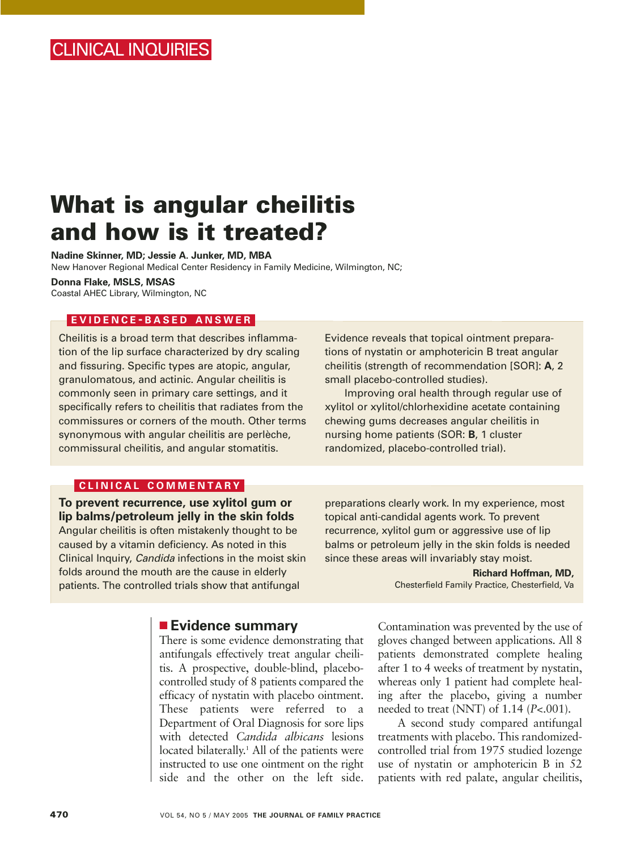# **What is angular cheilitis and how is it treated?**

**Nadine Skinner, MD; Jessie A. Junker, MD, MBA**

New Hanover Regional Medical Center Residency in Family Medicine, Wilmington, NC;

**Donna Flake, MSLS, MSAS** Coastal AHEC Library, Wilmington, NC

### **EVIDENCE - BASED ANSWER**

Cheilitis is a broad term that describes inflammation of the lip surface characterized by dry scaling and fissuring. Specific types are atopic, angular, granulomatous, and actinic. Angular cheilitis is commonly seen in primary care settings, and it specifically refers to cheilitis that radiates from the commissures or corners of the mouth. Other terms synonymous with angular cheilitis are perlèche, commissural cheilitis, and angular stomatitis.

## **CLINICAL COMMENTARY**

**To prevent recurrence, use xylitol gum or lip balms/petroleum jelly in the skin folds** Angular cheilitis is often mistakenly thought to be caused by a vitamin deficiency. As noted in this Clinical Inquiry, Candida infections in the moist skin folds around the mouth are the cause in elderly patients. The controlled trials show that antifungal

Evidence reveals that topical ointment preparations of nystatin or amphotericin B treat angular cheilitis (strength of recommendation [SOR]: **A**, 2 small placebo-controlled studies).

Improving oral health through regular use of xylitol or xylitol/chlorhexidine acetate containing chewing gums decreases angular cheilitis in nursing home patients (SOR: **B**, 1 cluster randomized, placebo-controlled trial).

preparations clearly work. In my experience, most topical anti-candidal agents work. To prevent recurrence, xylitol gum or aggressive use of lip balms or petroleum jelly in the skin folds is needed since these areas will invariably stay moist.

> **Richard Hoffman, MD,**  Chesterfield Family Practice, Chesterfield, Va

### ■ **Evidence summary**

There is some evidence demonstrating that antifungals effectively treat angular cheilitis. A prospective, double-blind, placebocontrolled study of 8 patients compared the efficacy of nystatin with placebo ointment. These patients were referred to a Department of Oral Diagnosis for sore lips with detected *Candida albicans* lesions located bilaterally.<sup>1</sup> All of the patients were instructed to use one ointment on the right side and the other on the left side.

Contamination was prevented by the use of gloves changed between applications. All 8 patients demonstrated complete healing after 1 to 4 weeks of treatment by nystatin, whereas only 1 patient had complete healing after the placebo, giving a number needed to treat (NNT) of 1.14 (*P*<.001).

A second study compared antifungal treatments with placebo. This randomizedcontrolled trial from 1975 studied lozenge use of nystatin or amphotericin B in 52 patients with red palate, angular cheilitis,